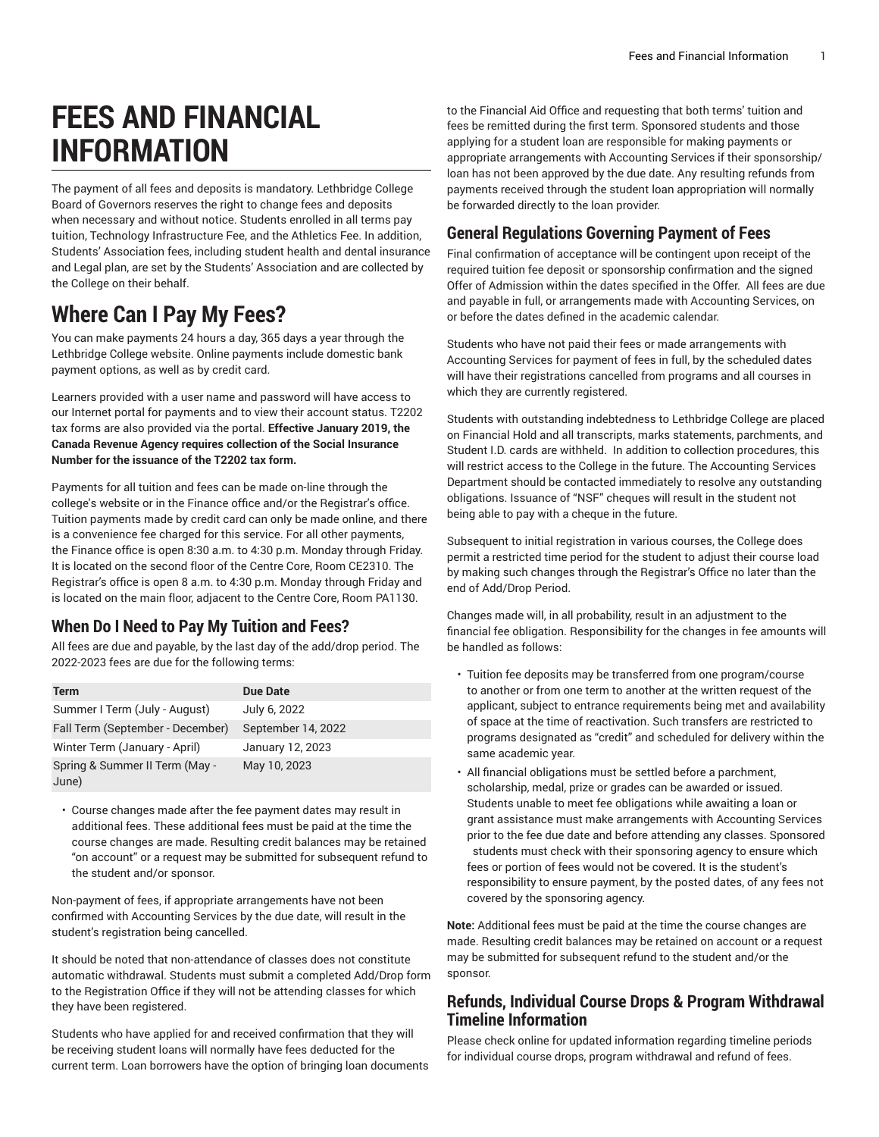# **FEES AND FINANCIAL INFORMATION**

The payment of all fees and deposits is mandatory. Lethbridge College Board of Governors reserves the right to change fees and deposits when necessary and without notice. Students enrolled in all terms pay tuition, Technology Infrastructure Fee, and the Athletics Fee. In addition, Students' Association fees, including student health and dental insurance and Legal plan, are set by the Students' Association and are collected by the College on their behalf.

## **Where Can I Pay My Fees?**

You can make payments 24 hours a day, 365 days a year through the Lethbridge College website. Online payments include domestic bank payment options, as well as by credit card.

Learners provided with a user name and password will have access to our Internet portal for payments and to view their account status. T2202 tax forms are also provided via the portal. **Effective January 2019, the Canada Revenue Agency requires collection of the Social Insurance Number for the issuance of the T2202 tax form.**

Payments for all tuition and fees can be made on-line through the college's website or in the Finance office and/or the Registrar's office. Tuition payments made by credit card can only be made online, and there is a convenience fee charged for this service. For all other payments, the Finance office is open 8:30 a.m. to 4:30 p.m. Monday through Friday. It is located on the second floor of the Centre Core, Room CE2310. The Registrar's office is open 8 a.m. to 4:30 p.m. Monday through Friday and is located on the main floor, adjacent to the Centre Core, Room PA1130.

### **When Do I Need to Pay My Tuition and Fees?**

All fees are due and payable, by the last day of the add/drop period. The 2022-2023 fees are due for the following terms:

| <b>Term</b>                      | <b>Due Date</b>    |
|----------------------------------|--------------------|
| Summer I Term (July - August)    | July 6, 2022       |
| Fall Term (September - December) | September 14, 2022 |
| Winter Term (January - April)    | January 12, 2023   |
| Spring & Summer II Term (May -   | May 10, 2023       |
| June)                            |                    |

• Course changes made after the fee payment dates may result in additional fees. These additional fees must be paid at the time the course changes are made. Resulting credit balances may be retained "on account" or a request may be submitted for subsequent refund to the student and/or sponsor.

Non-payment of fees, if appropriate arrangements have not been confirmed with Accounting Services by the due date, will result in the student's registration being cancelled.

It should be noted that non-attendance of classes does not constitute automatic withdrawal. Students must submit a completed Add/Drop form to the Registration Office if they will not be attending classes for which they have been registered.

Students who have applied for and received confirmation that they will be receiving student loans will normally have fees deducted for the current term. Loan borrowers have the option of bringing loan documents

to the Financial Aid Office and requesting that both terms' tuition and fees be remitted during the first term. Sponsored students and those applying for a student loan are responsible for making payments or appropriate arrangements with Accounting Services if their sponsorship/ loan has not been approved by the due date. Any resulting refunds from payments received through the student loan appropriation will normally be forwarded directly to the loan provider.

#### **General Regulations Governing Payment of Fees**

Final confirmation of acceptance will be contingent upon receipt of the required tuition fee deposit or sponsorship confirmation and the signed Offer of Admission within the dates specified in the Offer. All fees are due and payable in full, or arrangements made with Accounting Services, on or before the dates defined in the academic calendar.

Students who have not paid their fees or made arrangements with Accounting Services for payment of fees in full, by the scheduled dates will have their registrations cancelled from programs and all courses in which they are currently registered.

Students with outstanding indebtedness to Lethbridge College are placed on Financial Hold and all transcripts, marks statements, parchments, and Student I.D. cards are withheld. In addition to collection procedures, this will restrict access to the College in the future. The Accounting Services Department should be contacted immediately to resolve any outstanding obligations. Issuance of "NSF" cheques will result in the student not being able to pay with a cheque in the future.

Subsequent to initial registration in various courses, the College does permit a restricted time period for the student to adjust their course load by making such changes through the Registrar's Office no later than the end of Add/Drop Period.

Changes made will, in all probability, result in an adjustment to the financial fee obligation. Responsibility for the changes in fee amounts will be handled as follows:

- Tuition fee deposits may be transferred from one program/course to another or from one term to another at the written request of the applicant, subject to entrance requirements being met and availability of space at the time of reactivation. Such transfers are restricted to programs designated as "credit" and scheduled for delivery within the same academic year.
- All financial obligations must be settled before a parchment, scholarship, medal, prize or grades can be awarded or issued. Students unable to meet fee obligations while awaiting a loan or grant assistance must make arrangements with Accounting Services prior to the fee due date and before attending any classes. Sponsored students must check with their sponsoring agency to ensure which fees or portion of fees would not be covered. It is the student's responsibility to ensure payment, by the posted dates, of any fees not covered by the sponsoring agency.

**Note:** Additional fees must be paid at the time the course changes are made. Resulting credit balances may be retained on account or a request may be submitted for subsequent refund to the student and/or the sponsor.

#### **Refunds, Individual Course Drops & Program Withdrawal Timeline Information**

Please check online for updated information regarding timeline periods for individual course drops, program withdrawal and refund of fees.